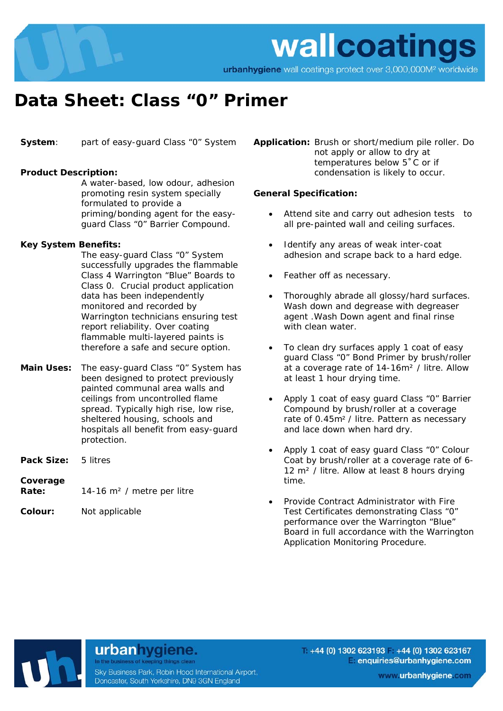

wallcoatings

# urbanhygiene wall coatings protect over 3,000,000M<sup>2</sup> worldwide

# **Data Sheet: Class "0" Primer**

**System**: part of easy-guard Class "0" System

# **Product Description:**

 A water-based, low odour, adhesion promoting resin system specially formulated to provide a priming/bonding agent for the easyguard Class "0" Barrier Compound.

# **Key System Benefits:**

 The easy-guard Class "0" System successfully upgrades the flammable Class 4 Warrington "Blue" Boards to Class 0. Crucial product application data has been independently monitored and recorded by Warrington technicians ensuring test report reliability. Over coating flammable multi-layered paints is therefore a safe and secure option.

- **Main Uses:** The easy-guard Class "0" System has been designed to protect previously painted communal area walls and ceilings from uncontrolled flame spread. Typically high rise, low rise, sheltered housing, schools and hospitals all benefit from easy-guard protection.
- **Pack Size:** 5 litres

#### **Coverage**

**Rate:** 14-16 m² / metre per litre

**Colour:** Not applicable

**Application:** Brush or short/medium pile roller. Do not apply or allow to dry at temperatures below 5˚C or if condensation is likely to occur.

#### **General Specification:**

- Attend site and carry out adhesion tests to all pre-painted wall and ceiling surfaces.
- Identify any areas of weak inter-coat adhesion and scrape back to a hard edge.
- Feather off as necessary.
- Thoroughly abrade all glossy/hard surfaces. Wash down and degrease with degreaser agent .Wash Down agent and final rinse with clean water.
- To clean dry surfaces apply 1 coat of easy guard Class "0" Bond Primer by brush/roller at a coverage rate of 14-16m² / litre. Allow at least 1 hour drying time.
- Apply 1 coat of easy guard Class "0" Barrier Compound by brush/roller at a coverage rate of 0.45m² / litre. Pattern as necessary and lace down when hard dry.
- Apply 1 coat of easy guard Class "0" Colour Coat by brush/roller at a coverage rate of 6- 12 m<sup>2</sup> / litre. Allow at least 8 hours drying time.
- Provide Contract Administrator with Fire Test Certificates demonstrating Class "0" performance over the Warrington "Blue" Board in full accordance with the Warrington Application Monitoring Procedure.

# urbanhygiene.

Sky Business Park, Robin Hood International Airport, Doncaster, South Yorkshire, DN9 3GN England

 $+44$  (0) 1302 623193 +44 (0) 1302 623167 enquiries@urbanhygiene.com

www.urbanhygiene.com